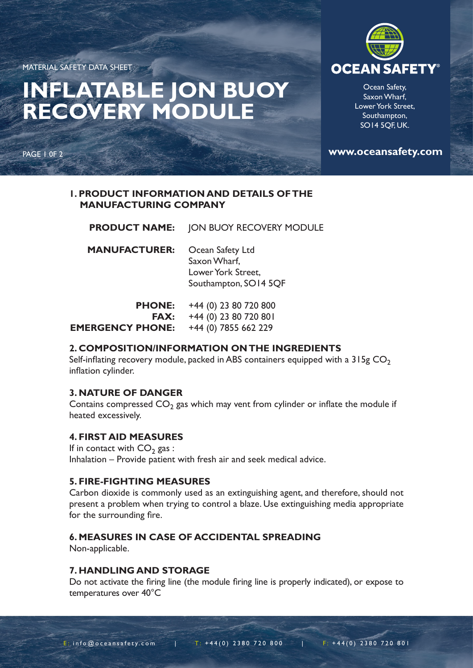MATERIAL SAFETY DATA SHEET

# **INFLATABLE JON BUOY RECOVERY MODULE**

PAGE 1 0F 2



Ocean Safety, Saxon Wharf, Lower York Street, Southampton, SO14 5QF, UK.

**www.oceansafety.com**

### **1. PRODUCT INFORMATION AND DETAILS OF THE MANUFACTURING COMPANY**

JON BUOY RECOVERY MODULE Ocean Safety Ltd Saxon Wharf, Lower York Street, Southampton, SO14 5QF **PRODUCT NAME: MANUFACTURER:**

| <b>PHONE:</b>           | +44 (0) 23 80 720 800  |
|-------------------------|------------------------|
| <b>FAX:</b>             | +44 (0) 23 80 720 80 l |
| <b>EMERGENCY PHONE:</b> | +44 (0) 7855 662 229   |

# **2. COMPOSITION/INFORMATION ON THE INGREDIENTS**

Self-inflating recovery module, packed in ABS containers equipped with a  $315g$  CO<sub>2</sub> inflation cylinder.

# **3. NATURE OF DANGER**

Contains compressed  $CO<sub>2</sub>$  gas which may vent from cylinder or inflate the module if heated excessively.

#### **4. FIRST AID MEASURES**

If in contact with  $CO<sub>2</sub>$  gas : Inhalation – Provide patient with fresh air and seek medical advice.

#### **5. FIRE-FIGHTING MEASURES**

Carbon dioxide is commonly used as an extinguishing agent, and therefore, should not present a problem when trying to control a blaze. Use extinguishing media appropriate for the surrounding fire.

# **6. MEASURES IN CASE OF ACCIDENTAL SPREADING**

Non-applicable.

#### **7. HANDLING AND STORAGE**

Do not activate the firing line (the module firing line is properly indicated), or expose to temperatures over 40°C